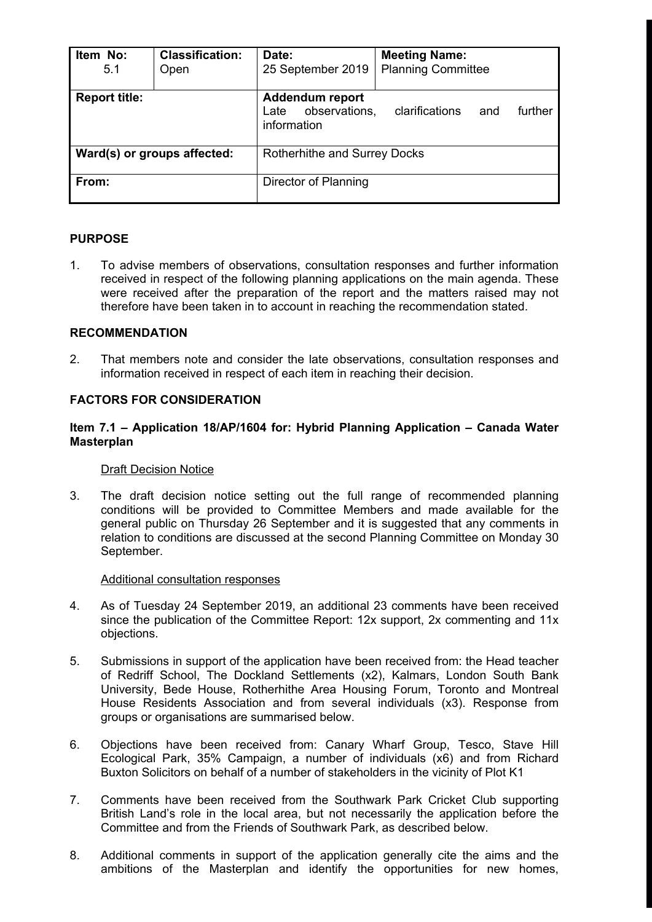| Item No:<br>5.1      | <b>Classification:</b><br>Open | Date:<br>25 September 2019                                     | <b>Meeting Name:</b><br><b>Planning Committee</b> |  |  |  |
|----------------------|--------------------------------|----------------------------------------------------------------|---------------------------------------------------|--|--|--|
| <b>Report title:</b> |                                | <b>Addendum report</b><br>observations,<br>Late<br>information | clarifications<br>further<br>and                  |  |  |  |
|                      | Ward(s) or groups affected:    | Rotherhithe and Surrey Docks                                   |                                                   |  |  |  |
| From:                |                                | Director of Planning                                           |                                                   |  |  |  |

# **PURPOSE**

1. To advise members of observations, consultation responses and further information received in respect of the following planning applications on the main agenda. These were received after the preparation of the report and the matters raised may not therefore have been taken in to account in reaching the recommendation stated.

### **RECOMMENDATION**

2. That members note and consider the late observations, consultation responses and information received in respect of each item in reaching their decision.

# **FACTORS FOR CONSIDERATION**

# **Item 7.1 – Application 18/AP/1604 for: Hybrid Planning Application – Canada Water Masterplan**

#### Draft Decision Notice

3. The draft decision notice setting out the full range of recommended planning conditions will be provided to Committee Members and made available for the general public on Thursday 26 September and it is suggested that any comments in relation to conditions are discussed at the second Planning Committee on Monday 30 September.

#### Additional consultation responses

- 4. As of Tuesday 24 September 2019, an additional 23 comments have been received since the publication of the Committee Report: 12x support, 2x commenting and 11x objections.
- 5. Submissions in support of the application have been received from: the Head teacher of Redriff School, The Dockland Settlements (x2), Kalmars, London South Bank University, Bede House, Rotherhithe Area Housing Forum, Toronto and Montreal House Residents Association and from several individuals (x3). Response from groups or organisations are summarised below.
- 6. Objections have been received from: Canary Wharf Group, Tesco, Stave Hill Ecological Park, 35% Campaign, a number of individuals (x6) and from Richard Buxton Solicitors on behalf of a number of stakeholders in the vicinity of Plot K1
- 7. Comments have been received from the Southwark Park Cricket Club supporting British Land's role in the local area, but not necessarily the application before the Committee and from the Friends of Southwark Park, as described below.
- 8. Additional comments in support of the application generally cite the aims and the ambitions of the Masterplan and identify the opportunities for new homes,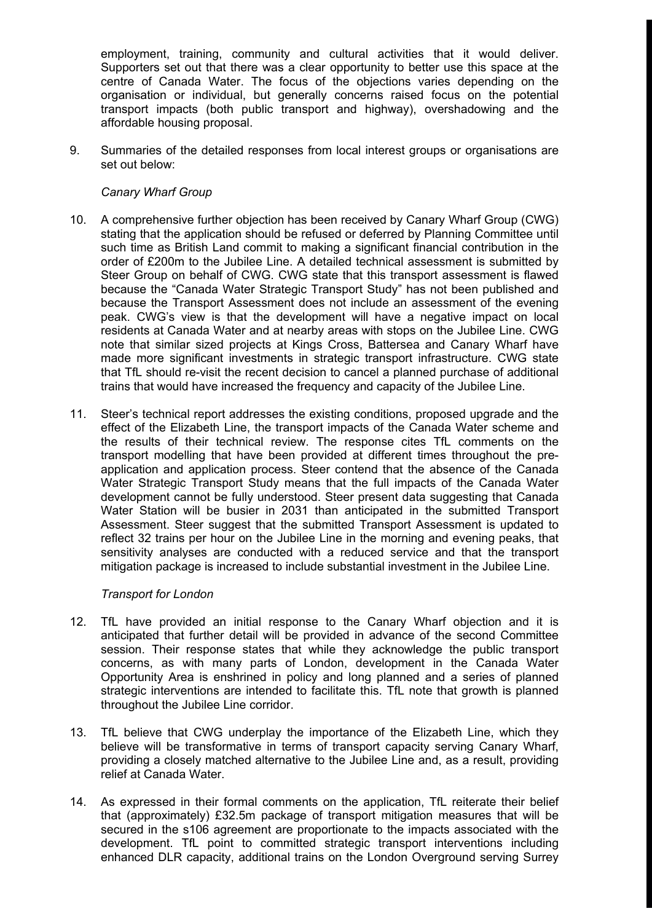employment, training, community and cultural activities that it would deliver. Supporters set out that there was a clear opportunity to better use this space at the centre of Canada Water. The focus of the objections varies depending on the organisation or individual, but generally concerns raised focus on the potential transport impacts (both public transport and highway), overshadowing and the affordable housing proposal.

9. Summaries of the detailed responses from local interest groups or organisations are set out below:

### *Canary Wharf Group*

- 10. A comprehensive further objection has been received by Canary Wharf Group (CWG) stating that the application should be refused or deferred by Planning Committee until such time as British Land commit to making a significant financial contribution in the order of £200m to the Jubilee Line. A detailed technical assessment is submitted by Steer Group on behalf of CWG. CWG state that this transport assessment is flawed because the "Canada Water Strategic Transport Study" has not been published and because the Transport Assessment does not include an assessment of the evening peak. CWG's view is that the development will have a negative impact on local residents at Canada Water and at nearby areas with stops on the Jubilee Line. CWG note that similar sized projects at Kings Cross, Battersea and Canary Wharf have made more significant investments in strategic transport infrastructure. CWG state that TfL should re-visit the recent decision to cancel a planned purchase of additional trains that would have increased the frequency and capacity of the Jubilee Line.
- 11. Steer's technical report addresses the existing conditions, proposed upgrade and the effect of the Elizabeth Line, the transport impacts of the Canada Water scheme and the results of their technical review. The response cites TfL comments on the transport modelling that have been provided at different times throughout the preapplication and application process. Steer contend that the absence of the Canada Water Strategic Transport Study means that the full impacts of the Canada Water development cannot be fully understood. Steer present data suggesting that Canada Water Station will be busier in 2031 than anticipated in the submitted Transport Assessment. Steer suggest that the submitted Transport Assessment is updated to reflect 32 trains per hour on the Jubilee Line in the morning and evening peaks, that sensitivity analyses are conducted with a reduced service and that the transport mitigation package is increased to include substantial investment in the Jubilee Line.

#### *Transport for London*

- 12. TfL have provided an initial response to the Canary Wharf objection and it is anticipated that further detail will be provided in advance of the second Committee session. Their response states that while they acknowledge the public transport concerns, as with many parts of London, development in the Canada Water Opportunity Area is enshrined in policy and long planned and a series of planned strategic interventions are intended to facilitate this. TfL note that growth is planned throughout the Jubilee Line corridor.
- 13. TfL believe that CWG underplay the importance of the Elizabeth Line, which they believe will be transformative in terms of transport capacity serving Canary Wharf, providing a closely matched alternative to the Jubilee Line and, as a result, providing relief at Canada Water.
- 14. As expressed in their formal comments on the application, TfL reiterate their belief that (approximately) £32.5m package of transport mitigation measures that will be secured in the s106 agreement are proportionate to the impacts associated with the development. TfL point to committed strategic transport interventions including enhanced DLR capacity, additional trains on the London Overground serving Surrey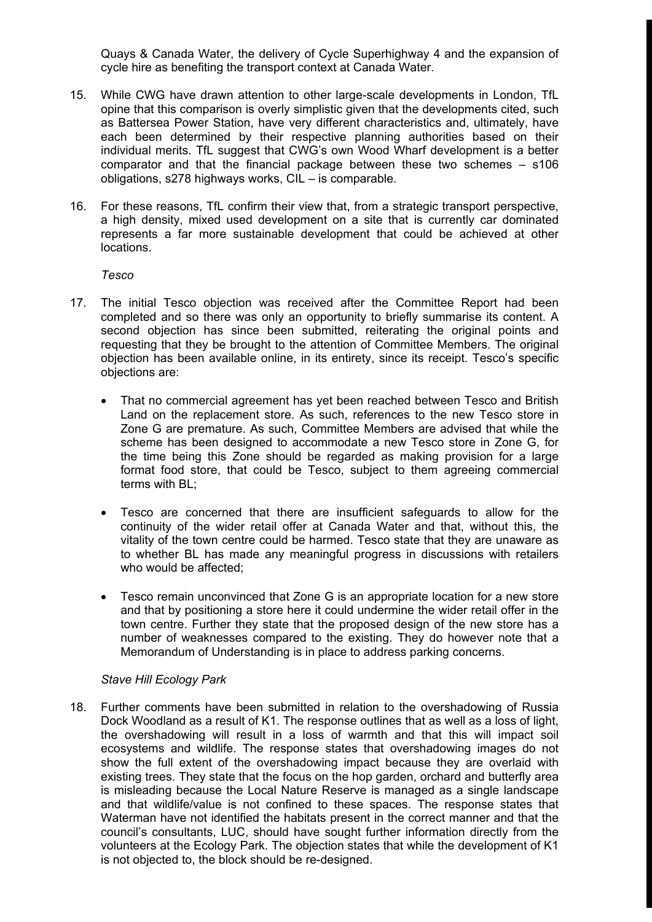Quays & Canada Water, the delivery of Cycle Superhighway 4 and the expansion of cycle hire as benefiting the transport context at Canada Water.

- 15. While CWG have drawn attention to other large-scale developments in London, TfL opine that this comparison is overly simplistic given that the developments cited, such as Battersea Power Station, have very different characteristics and, ultimately, have each been determined by their respective planning authorities based on their individual merits. TfL suggest that CWG's own Wood Wharf development is a better comparator and that the financial package between these two schemes – s106 obligations, s278 highways works, CIL – is comparable.
- 16. For these reasons, TfL confirm their view that, from a strategic transport perspective, a high density, mixed used development on a site that is currently car dominated represents a far more sustainable development that could be achieved at other locations.

*Tesco*

- 17. The initial Tesco objection was received after the Committee Report had been completed and so there was only an opportunity to briefly summarise its content. A second objection has since been submitted, reiterating the original points and requesting that they be brought to the attention of Committee Members. The original objection has been available online, in its entirety, since its receipt. Tesco's specific objections are:
	- That no commercial agreement has yet been reached between Tesco and British Land on the replacement store. As such, references to the new Tesco store in Zone G are premature. As such, Committee Members are advised that while the scheme has been designed to accommodate a new Tesco store in Zone G, for the time being this Zone should be regarded as making provision for a large format food store, that could be Tesco, subject to them agreeing commercial terms with BL;
	- Tesco are concerned that there are insufficient safeguards to allow for the continuity of the wider retail offer at Canada Water and that, without this, the vitality of the town centre could be harmed. Tesco state that they are unaware as to whether BL has made any meaningful progress in discussions with retailers who would be affected;
	- Tesco remain unconvinced that Zone G is an appropriate location for a new store and that by positioning a store here it could undermine the wider retail offer in the town centre. Further they state that the proposed design of the new store has a number of weaknesses compared to the existing. They do however note that a Memorandum of Understanding is in place to address parking concerns.

#### *Stave Hill Ecology Park*

18. Further comments have been submitted in relation to the overshadowing of Russia Dock Woodland as a result of K1. The response outlines that as well as a loss of light, the overshadowing will result in a loss of warmth and that this will impact soil ecosystems and wildlife. The response states that overshadowing images do not show the full extent of the overshadowing impact because they are overlaid with existing trees. They state that the focus on the hop garden, orchard and butterfly area is misleading because the Local Nature Reserve is managed as a single landscape and that wildlife/value is not confined to these spaces. The response states that Waterman have not identified the habitats present in the correct manner and that the council's consultants, LUC, should have sought further information directly from the volunteers at the Ecology Park. The objection states that while the development of K1 is not objected to, the block should be re-designed.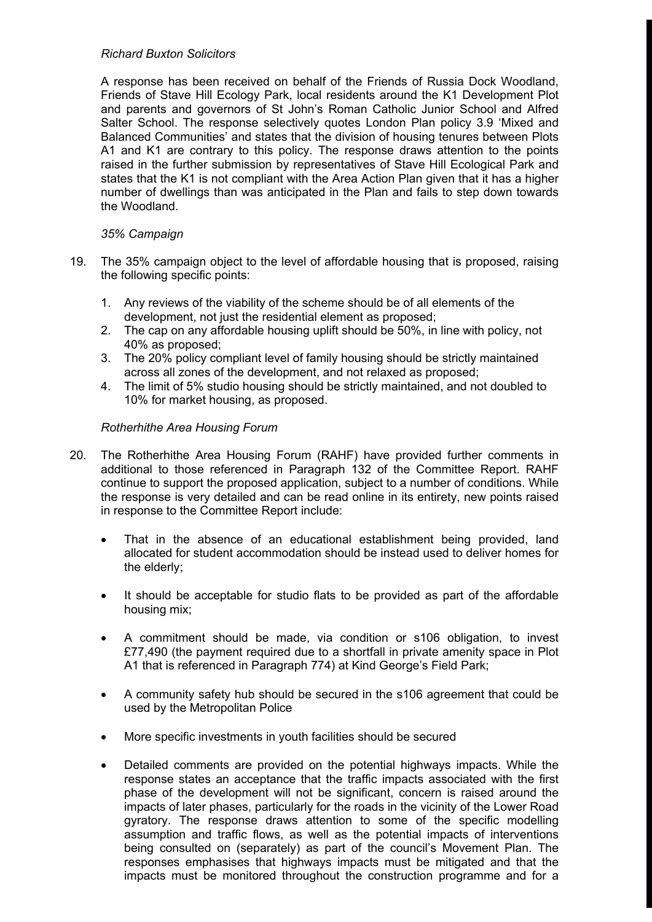# *Richard Buxton Solicitors*

A response has been received on behalf of the Friends of Russia Dock Woodland, Friends of Stave Hill Ecology Park, local residents around the K1 Development Plot and parents and governors of St John's Roman Catholic Junior School and Alfred Salter School. The response selectively quotes London Plan policy 3.9 'Mixed and Balanced Communities' and states that the division of housing tenures between Plots A1 and K1 are contrary to this policy. The response draws attention to the points raised in the further submission by representatives of Stave Hill Ecological Park and states that the K1 is not compliant with the Area Action Plan given that it has a higher number of dwellings than was anticipated in the Plan and fails to step down towards the Woodland.

# *35% Campaign*

- 19. The 35% campaign object to the level of affordable housing that is proposed, raising the following specific points:
	- 1. Any reviews of the viability of the scheme should be of all elements of the development, not just the residential element as proposed;
	- 2. The cap on any affordable housing uplift should be 50%, in line with policy, not 40% as proposed;
	- 3. The 20% policy compliant level of family housing should be strictly maintained across all zones of the development, and not relaxed as proposed;
	- 4. The limit of 5% studio housing should be strictly maintained, and not doubled to 10% for market housing, as proposed.

# *Rotherhithe Area Housing Forum*

- 20. The Rotherhithe Area Housing Forum (RAHF) have provided further comments in additional to those referenced in Paragraph 132 of the Committee Report. RAHF continue to support the proposed application, subject to a number of conditions. While the response is very detailed and can be read online in its entirety, new points raised in response to the Committee Report include:
	- That in the absence of an educational establishment being provided, land allocated for student accommodation should be instead used to deliver homes for the elderly;
	- It should be acceptable for studio flats to be provided as part of the affordable housing mix;
	- A commitment should be made, via condition or s106 obligation, to invest £77,490 (the payment required due to a shortfall in private amenity space in Plot A1 that is referenced in Paragraph 774) at Kind George's Field Park;
	- A community safety hub should be secured in the s106 agreement that could be used by the Metropolitan Police
	- More specific investments in youth facilities should be secured
	- Detailed comments are provided on the potential highways impacts. While the response states an acceptance that the traffic impacts associated with the first phase of the development will not be significant, concern is raised around the impacts of later phases, particularly for the roads in the vicinity of the Lower Road gyratory. The response draws attention to some of the specific modelling assumption and traffic flows, as well as the potential impacts of interventions being consulted on (separately) as part of the council's Movement Plan. The responses emphasises that highways impacts must be mitigated and that the impacts must be monitored throughout the construction programme and for a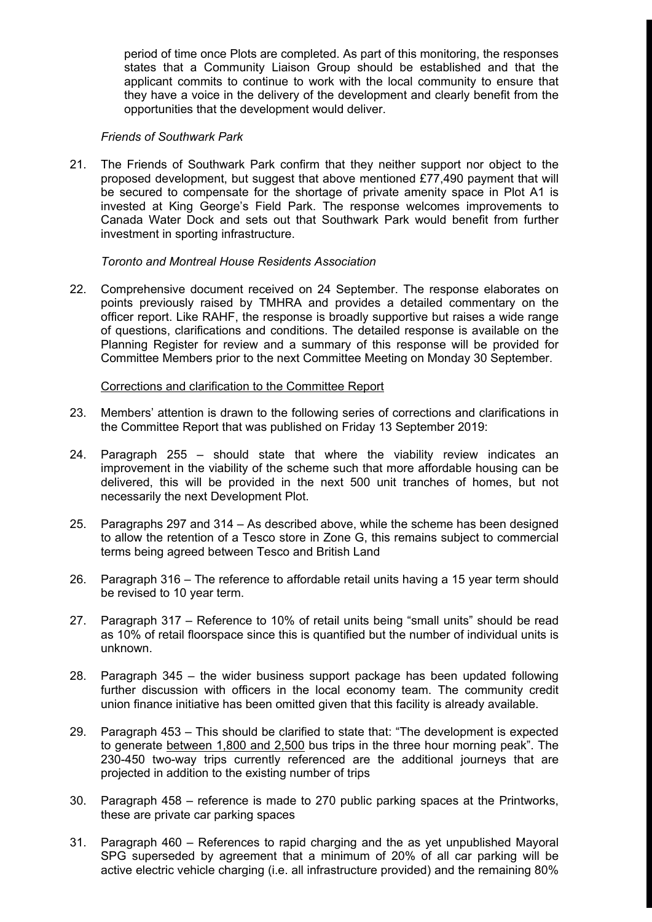period of time once Plots are completed. As part of this monitoring, the responses states that a Community Liaison Group should be established and that the applicant commits to continue to work with the local community to ensure that they have a voice in the delivery of the development and clearly benefit from the opportunities that the development would deliver.

# *Friends of Southwark Park*

21. The Friends of Southwark Park confirm that they neither support nor object to the proposed development, but suggest that above mentioned £77,490 payment that will be secured to compensate for the shortage of private amenity space in Plot A1 is invested at King George's Field Park. The response welcomes improvements to Canada Water Dock and sets out that Southwark Park would benefit from further investment in sporting infrastructure.

# *Toronto and Montreal House Residents Association*

22. Comprehensive document received on 24 September. The response elaborates on points previously raised by TMHRA and provides a detailed commentary on the officer report. Like RAHF, the response is broadly supportive but raises a wide range of questions, clarifications and conditions. The detailed response is available on the Planning Register for review and a summary of this response will be provided for Committee Members prior to the next Committee Meeting on Monday 30 September.

# Corrections and clarification to the Committee Report

- 23. Members' attention is drawn to the following series of corrections and clarifications in the Committee Report that was published on Friday 13 September 2019:
- 24. Paragraph 255 should state that where the viability review indicates an improvement in the viability of the scheme such that more affordable housing can be delivered, this will be provided in the next 500 unit tranches of homes, but not necessarily the next Development Plot.
- 25. Paragraphs 297 and 314 As described above, while the scheme has been designed to allow the retention of a Tesco store in Zone G, this remains subject to commercial terms being agreed between Tesco and British Land
- 26. Paragraph 316 The reference to affordable retail units having a 15 year term should be revised to 10 year term.
- 27. Paragraph 317 Reference to 10% of retail units being "small units" should be read as 10% of retail floorspace since this is quantified but the number of individual units is unknown.
- 28. Paragraph 345 the wider business support package has been updated following further discussion with officers in the local economy team. The community credit union finance initiative has been omitted given that this facility is already available.
- 29. Paragraph 453 This should be clarified to state that: "The development is expected to generate between 1,800 and 2,500 bus trips in the three hour morning peak". The 230-450 two-way trips currently referenced are the additional journeys that are projected in addition to the existing number of trips
- 30. Paragraph 458 reference is made to 270 public parking spaces at the Printworks, these are private car parking spaces
- 31. Paragraph 460 References to rapid charging and the as yet unpublished Mayoral SPG superseded by agreement that a minimum of 20% of all car parking will be active electric vehicle charging (i.e. all infrastructure provided) and the remaining 80%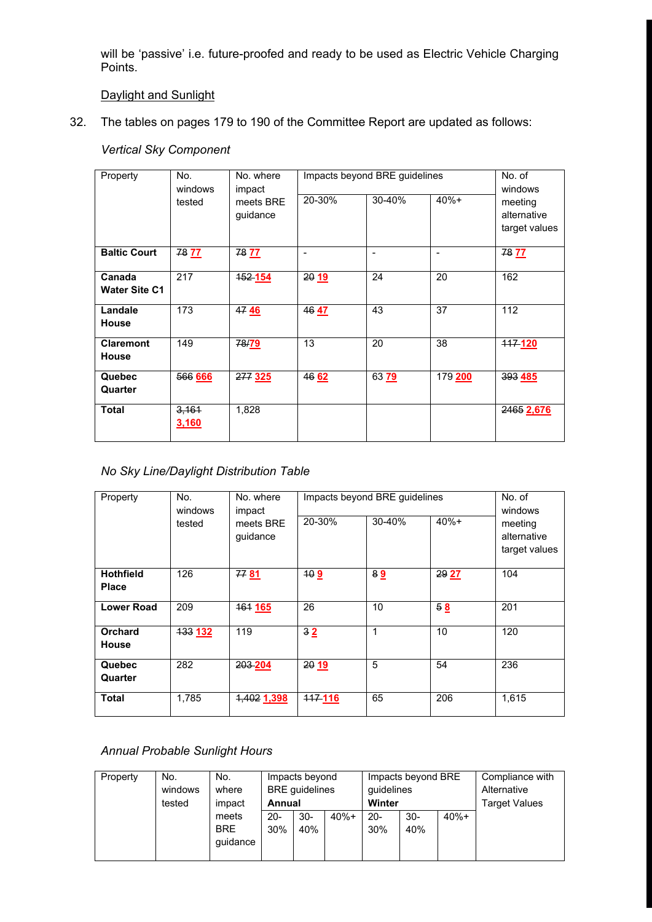will be 'passive' i.e. future-proofed and ready to be used as Electric Vehicle Charging Points.

# Daylight and Sunlight

32. The tables on pages 179 to 190 of the Committee Report are updated as follows:

# *Vertical Sky Component*

| Property                         | No.<br>windows | No. where<br>impact   | Impacts beyond BRE guidelines | No. of<br>windows        |                          |                                         |
|----------------------------------|----------------|-----------------------|-------------------------------|--------------------------|--------------------------|-----------------------------------------|
|                                  | tested         | meets BRE<br>guidance | 20-30%                        | 30-40%                   | $40% +$                  | meeting<br>alternative<br>target values |
| <b>Baltic Court</b>              | 78 77          | 78 77                 | $\overline{\phantom{a}}$      | $\overline{\phantom{0}}$ | $\overline{\phantom{a}}$ | 78 77                                   |
| Canada<br><b>Water Site C1</b>   | 217            | 152 154               | 2019                          | 24                       | 20                       | 162                                     |
| Landale<br><b>House</b>          | 173            | 4746                  | 4647                          | 43                       | 37                       | 112                                     |
| <b>Claremont</b><br><b>House</b> | 149            | 78/79                 | 13                            | 20                       | 38                       | 117-120                                 |
| <b>Quebec</b><br>Quarter         | 566 666        | <b>277 325</b>        | 46 62                         | 63 79                    | 179 200                  | 393 485                                 |
| <b>Total</b>                     | 3,161<br>3,160 | 1,828                 |                               |                          |                          | 2465 2,676                              |

# *No Sky Line/Daylight Distribution Table*

| Property                         | No.<br>windows | No. where<br>impact<br>meets BRE<br>guidance | Impacts beyond BRE guidelines | No. of<br>windows |         |                                         |
|----------------------------------|----------------|----------------------------------------------|-------------------------------|-------------------|---------|-----------------------------------------|
|                                  | tested         |                                              | 20-30%                        | $30 - 40%$        | $40% +$ | meeting<br>alternative<br>target values |
| <b>Hothfield</b><br><b>Place</b> | 126            | 7781                                         | 409                           | 89                | 29 27   | 104                                     |
| <b>Lower Road</b>                | 209            | <b>464 165</b>                               | 26                            | 10                | 58      | 201                                     |
| <b>Orchard</b><br><b>House</b>   | 133 132        | 119                                          | 32                            | 1                 | 10      | 120                                     |
| Quebec<br>Quarter                | 282            | 203-204                                      | 2019                          | 5                 | 54      | 236                                     |
| <b>Total</b>                     | 1,785          | 1,402 1,398                                  | $117 - 116$                   | 65                | 206     | 1,615                                   |

# *Annual Probable Sunlight Hours*

| Property | No.     | No.        | Impacts beyond        |        | Impacts beyond BRE |        |        | Compliance with      |  |
|----------|---------|------------|-----------------------|--------|--------------------|--------|--------|----------------------|--|
|          | windows | where      | <b>BRE</b> guidelines |        | guidelines         |        |        | Alternative          |  |
|          | tested  | impact     | <b>Annual</b>         |        | Winter             |        |        | <b>Target Values</b> |  |
|          |         | meets      | $20 -$                | $30 -$ | $40% +$            | $20 -$ | $30 -$ | $40% +$              |  |
|          |         | <b>BRE</b> | 30%                   | 40%    |                    | 30%    | 40%    |                      |  |
|          |         | quidance   |                       |        |                    |        |        |                      |  |
|          |         |            |                       |        |                    |        |        |                      |  |